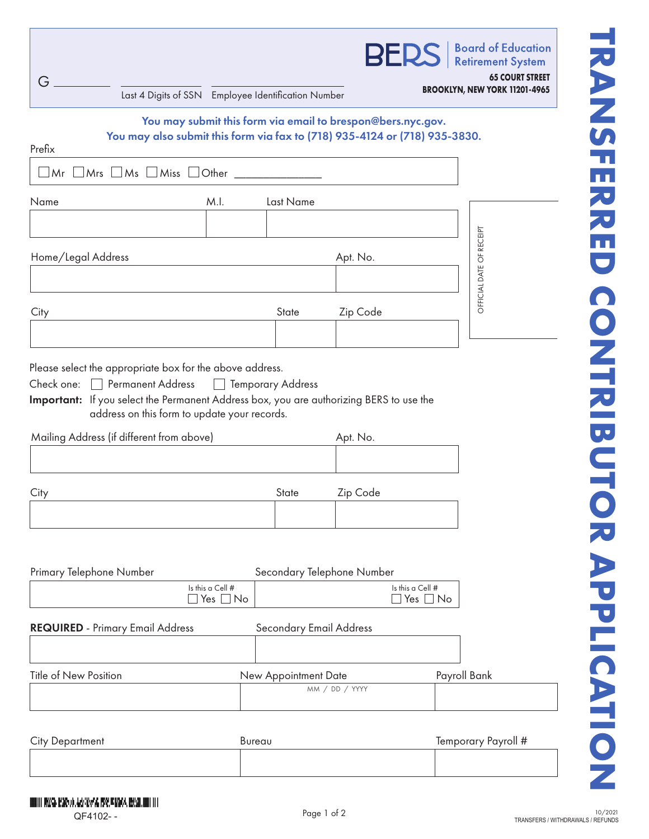| G<br>Last 4 Digits of SSN Employee Identification Number                             |                                          |                         | <b>BERS</b>                                                 | <b>Board of Education</b><br><b>Retirement System</b><br><b>65 COURT STREET</b><br>BROOKLYN, NEW YORK 11201-4965 |
|--------------------------------------------------------------------------------------|------------------------------------------|-------------------------|-------------------------------------------------------------|------------------------------------------------------------------------------------------------------------------|
| You may also submit this form via fax to (718) 935-4124 or (718) 935-3830.<br>Prefix |                                          |                         | You may submit this form via email to brespon@bers.nyc.gov. |                                                                                                                  |
| $Mr \tMrs \tMs \tMiss \tOther$                                                       |                                          |                         |                                                             |                                                                                                                  |
| Name                                                                                 | M.I.                                     | Last Name               |                                                             |                                                                                                                  |
|                                                                                      |                                          |                         |                                                             |                                                                                                                  |
| Home/Legal Address                                                                   |                                          |                         | Apt. No.                                                    | OFFICIAL DATE OF RECEIPT                                                                                         |
| City                                                                                 |                                          | State                   | Zip Code                                                    |                                                                                                                  |
| Mailing Address (if different from above)                                            |                                          |                         | Apt. No.                                                    |                                                                                                                  |
| City                                                                                 |                                          | State                   | Zip Code                                                    |                                                                                                                  |
| Primary Telephone Number                                                             | Is this a Cell #<br>$\Box$ Yes $\Box$ No |                         | Secondary Telephone Number                                  | Is this a Cell #<br>$\square$ Yes $\square$ No                                                                   |
| <b>REQUIRED</b> - Primary Email Address                                              |                                          | Secondary Email Address |                                                             |                                                                                                                  |
| <b>Title of New Position</b>                                                         |                                          | New Appointment Date    | MM / DD / YYYY                                              | Payroll Bank                                                                                                     |
| <b>City Department</b>                                                               | Bureau                                   |                         |                                                             | Temporary Payroll #                                                                                              |
| UUDIII MWA KAROD AASIKA 199, KAMA KULADUDI III<br>QF4102--                           |                                          |                         | Page 1 of 2                                                 | TRANSFERS / WITHDRAWALS / REFUNDS                                                                                |